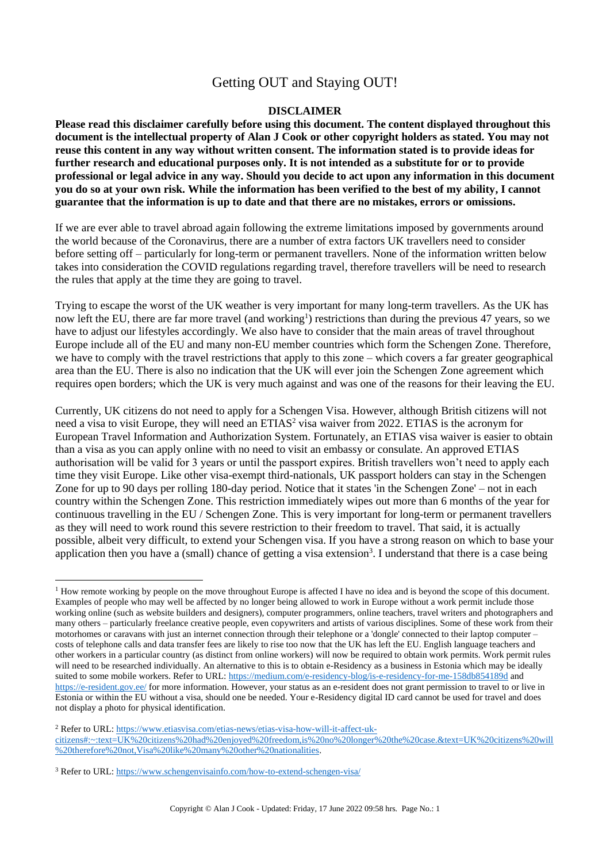# Getting OUT and Staying OUT!

#### **DISCLAIMER**

**Please read this disclaimer carefully before using this document. The content displayed throughout this document is the intellectual property of Alan J Cook or other copyright holders as stated. You may not reuse this content in any way without written consent. The information stated is to provide ideas for further research and educational purposes only. It is not intended as a substitute for or to provide professional or legal advice in any way. Should you decide to act upon any information in this document you do so at your own risk. While the information has been verified to the best of my ability, I cannot guarantee that the information is up to date and that there are no mistakes, errors or omissions.**

If we are ever able to travel abroad again following the extreme limitations imposed by governments around the world because of the Coronavirus, there are a number of extra factors UK travellers need to consider before setting off – particularly for long-term or permanent travellers. None of the information written below takes into consideration the COVID regulations regarding travel, therefore travellers will be need to research the rules that apply at the time they are going to travel.

Trying to escape the worst of the UK weather is very important for many long-term travellers. As the UK has now left the EU, there are far more travel (and working<sup>1</sup>) restrictions than during the previous 47 years, so we have to adjust our lifestyles accordingly. We also have to consider that the main areas of travel throughout Europe include all of the EU and many non-EU member countries which form the Schengen Zone. Therefore, we have to comply with the travel restrictions that apply to this zone – which covers a far greater geographical area than the EU. There is also no indication that the UK will ever join the Schengen Zone agreement which requires open borders; which the UK is very much against and was one of the reasons for their leaving the EU.

Currently, UK citizens do not need to apply for a Schengen Visa. However, although British citizens will not need a visa to visit Europe, they will need an ETIAS<sup>2</sup> visa waiver from 2022. ETIAS is the acronym for European Travel Information and Authorization System. Fortunately, an ETIAS visa waiver is easier to obtain than a visa as you can apply online with no need to visit an embassy or consulate. An approved ETIAS authorisation will be valid for 3 years or until the passport expires. British travellers won't need to apply each time they visit Europe. Like other visa-exempt third-nationals, UK passport holders can stay in the Schengen Zone for up to 90 days per rolling 180-day period. Notice that it states 'in the Schengen Zone' – not in each country within the Schengen Zone. This restriction immediately wipes out more than 6 months of the year for continuous travelling in the EU / Schengen Zone. This is very important for long-term or permanent travellers as they will need to work round this severe restriction to their freedom to travel. That said, it is actually possible, albeit very difficult, to extend your Schengen visa. If you have a strong reason on which to base your application then you have a (small) chance of getting a visa extension<sup>3</sup>. I understand that there is a case being

<sup>&</sup>lt;sup>1</sup> How remote working by people on the move throughout Europe is affected I have no idea and is beyond the scope of this document. Examples of people who may well be affected by no longer being allowed to work in Europe without a work permit include those working online (such as website builders and designers), computer programmers, online teachers, travel writers and photographers and many others – particularly freelance creative people, even copywriters and artists of various disciplines. Some of these work from their motorhomes or caravans with just an internet connection through their telephone or a 'dongle' connected to their laptop computer – costs of telephone calls and data transfer fees are likely to rise too now that the UK has left the EU. English language teachers and other workers in a particular country (as distinct from online workers) will now be required to obtain work permits. Work permit rules will need to be researched individually. An alternative to this is to obtain e-Residency as a business in Estonia which may be ideally suited to some mobile workers. Refer to URL:<https://medium.com/e-residency-blog/is-e-residency-for-me-158db854189d> and <https://e-resident.gov.ee/> for more information. However, your status as an e-resident does not grant permission to travel to or live in Estonia or within the EU without a visa, should one be needed. Your e-Residency digital ID card cannot be used for travel and does not display a photo for physical identification.

<sup>2</sup> Refer to URL[: https://www.etiasvisa.com/etias-news/etias-visa-how-will-it-affect-uk-](https://www.etiasvisa.com/etias-news/etias-visa-how-will-it-affect-uk-citizens#:~:text=UK%20citizens%20had%20enjoyed%20freedom,is%20no%20longer%20the%20case.&text=UK%20citizens%20will%20therefore%20not,Visa%20like%20many%20other%20nationalities)

[citizens#:~:text=UK%20citizens%20had%20enjoyed%20freedom,is%20no%20longer%20the%20case.&text=UK%20citizens%20will](https://www.etiasvisa.com/etias-news/etias-visa-how-will-it-affect-uk-citizens#:~:text=UK%20citizens%20had%20enjoyed%20freedom,is%20no%20longer%20the%20case.&text=UK%20citizens%20will%20therefore%20not,Visa%20like%20many%20other%20nationalities) [%20therefore%20not,Visa%20like%20many%20other%20nationalities.](https://www.etiasvisa.com/etias-news/etias-visa-how-will-it-affect-uk-citizens#:~:text=UK%20citizens%20had%20enjoyed%20freedom,is%20no%20longer%20the%20case.&text=UK%20citizens%20will%20therefore%20not,Visa%20like%20many%20other%20nationalities)

<sup>3</sup> Refer to URL[: https://www.schengenvisainfo.com/how-to-extend-schengen-visa/](https://www.schengenvisainfo.com/how-to-extend-schengen-visa/)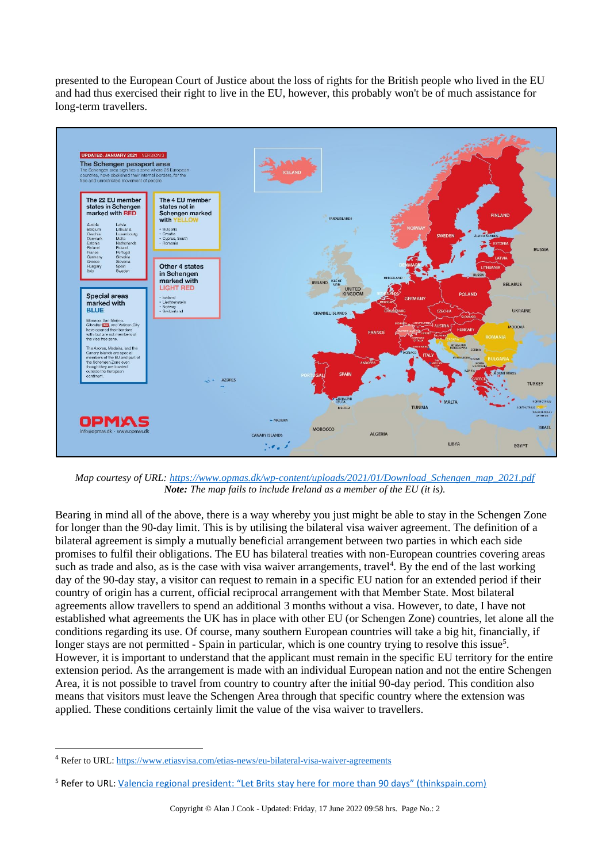presented to the European Court of Justice about the loss of rights for the British people who lived in the EU and had thus exercised their right to live in the EU, however, this probably won't be of much assistance for long-term travellers.



*Map courtesy of URL: [https://www.opmas.dk/wp-content/uploads/2021/01/Download\\_Schengen\\_map\\_2021.pdf](https://www.opmas.dk/wp-content/uploads/2021/01/Download_Schengen_map_2021.pdf) Note: The map fails to include Ireland as a member of the EU (it is).*

Bearing in mind all of the above, there is a way whereby you just might be able to stay in the Schengen Zone for longer than the 90-day limit. This is by utilising the bilateral visa waiver agreement. The definition of a bilateral agreement is simply a mutually beneficial arrangement between two parties in which each side promises to fulfil their obligations. The EU has bilateral treaties with non-European countries covering areas such as trade and also, as is the case with visa waiver arrangements, travel<sup>4</sup>. By the end of the last working day of the 90-day stay, a visitor can request to remain in a specific EU nation for an extended period if their country of origin has a current, official reciprocal arrangement with that Member State. Most bilateral agreements allow travellers to spend an additional 3 months without a visa. However, to date, I have not established what agreements the UK has in place with other EU (or Schengen Zone) countries, let alone all the conditions regarding its use. Of course, many southern European countries will take a big hit, financially, if longer stays are not permitted - Spain in particular, which is one country trying to resolve this issue<sup>5</sup>. However, it is important to understand that the applicant must remain in the specific EU territory for the entire extension period. As the arrangement is made with an individual European nation and not the entire Schengen Area, it is not possible to travel from country to country after the initial 90-day period. This condition also means that visitors must leave the Schengen Area through that specific country where the extension was applied. These conditions certainly limit the value of the visa waiver to travellers.

<sup>&</sup>lt;sup>4</sup> Refer to URL:<https://www.etiasvisa.com/etias-news/eu-bilateral-visa-waiver-agreements>

<sup>5</sup> Refer to URL: [Valencia regional president: "Let Brits stay here for more than 90 days" \(thinkspain.com\)](https://www.thinkspain.com/news-spain/33116/valencia-regional-president-let-brits-stay-here-for-more-than-90-days?utm_campaign=newsletter_20211107&utm_content=news_25538&utm_medium=email&utm_source=sub_newsletter)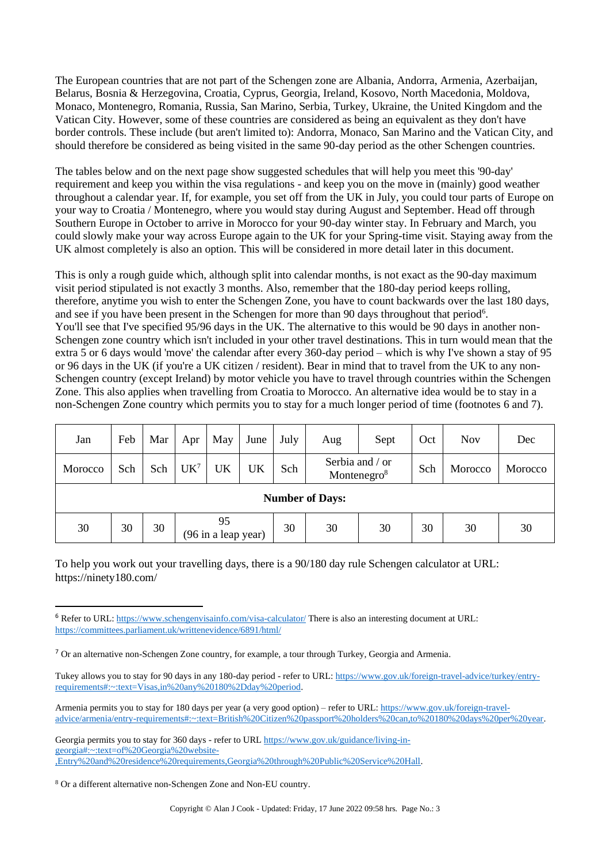The European countries that are not part of the Schengen zone are Albania, Andorra, Armenia, Azerbaijan, Belarus, Bosnia & Herzegovina, Croatia, Cyprus, Georgia, Ireland, Kosovo, North Macedonia, Moldova, Monaco, Montenegro, Romania, Russia, San Marino, Serbia, Turkey, Ukraine, the United Kingdom and the Vatican City. However, some of these countries are considered as being an equivalent as they don't have border controls. These include (but aren't limited to): Andorra, Monaco, San Marino and the Vatican City, and should therefore be considered as being visited in the same 90-day period as the other Schengen countries.

The tables below and on the next page show suggested schedules that will help you meet this '90-day' requirement and keep you within the visa regulations - and keep you on the move in (mainly) good weather throughout a calendar year. If, for example, you set off from the UK in July, you could tour parts of Europe on your way to Croatia / Montenegro, where you would stay during August and September. Head off through Southern Europe in October to arrive in Morocco for your 90-day winter stay. In February and March, you could slowly make your way across Europe again to the UK for your Spring-time visit. Staying away from the UK almost completely is also an option. This will be considered in more detail later in this document.

This is only a rough guide which, although split into calendar months, is not exact as the 90-day maximum visit period stipulated is not exactly 3 months. Also, remember that the 180-day period keeps rolling, therefore, anytime you wish to enter the Schengen Zone, you have to count backwards over the last 180 days, and see if you have been present in the Schengen for more than 90 days throughout that period<sup>6</sup>. You'll see that I've specified 95/96 days in the UK. The alternative to this would be 90 days in another non-Schengen zone country which isn't included in your other travel destinations. This in turn would mean that the extra 5 or 6 days would 'move' the calendar after every 360-day period – which is why I've shown a stay of 95 or 96 days in the UK (if you're a UK citizen / resident). Bear in mind that to travel from the UK to any non-Schengen country (except Ireland) by motor vehicle you have to travel through countries within the Schengen Zone. This also applies when travelling from Croatia to Morocco. An alternative idea would be to stay in a non-Schengen Zone country which permits you to stay for a much longer period of time (footnotes 6 and 7).

| Jan                    | Feb | Mar | Apr                       | May | June | July | Sept<br>Aug                                |    | Oct | <b>Nov</b> | Dec     |
|------------------------|-----|-----|---------------------------|-----|------|------|--------------------------------------------|----|-----|------------|---------|
| Morocco                | Sch | Sch | UK <sup>7</sup>           | UK  | UK   | Sch  | Serbia and / or<br>Montenegro <sup>8</sup> |    | Sch | Morocco    | Morocco |
| <b>Number of Days:</b> |     |     |                           |     |      |      |                                            |    |     |            |         |
| 30                     | 30  | 30  | 95<br>(96 in a leap year) |     |      | 30   | 30                                         | 30 | 30  | 30         | 30      |

To help you work out your travelling days, there is a 90/180 day rule Schengen calculator at URL: https://ninety180.com/

<sup>6</sup> Refer to URL:<https://www.schengenvisainfo.com/visa-calculator/> There is also an interesting document at URL: <https://committees.parliament.uk/writtenevidence/6891/html/>

<sup>7</sup> Or an alternative non-Schengen Zone country, for example, a tour through Turkey, Georgia and Armenia.

Tukey allows you to stay for 90 days in any 180-day period - refer to URL[: https://www.gov.uk/foreign-travel-advice/turkey/entry](https://www.gov.uk/foreign-travel-advice/turkey/entry-requirements#:~:text=Visas,in%20any%20180%2Dday%20period)[requirements#:~:text=Visas,in%20any%20180%2Dday%20period.](https://www.gov.uk/foreign-travel-advice/turkey/entry-requirements#:~:text=Visas,in%20any%20180%2Dday%20period)

Armenia permits you to stay for 180 days per year (a very good option) – refer to URL[: https://www.gov.uk/foreign-travel](https://www.gov.uk/foreign-travel-advice/armenia/entry-requirements#:~:text=British%20Citizen%20passport%20holders%20can,to%20180%20days%20per%20year)[advice/armenia/entry-requirements#:~:text=British%20Citizen%20passport%20holders%20can,to%20180%20days%20per%20year.](https://www.gov.uk/foreign-travel-advice/armenia/entry-requirements#:~:text=British%20Citizen%20passport%20holders%20can,to%20180%20days%20per%20year)

Georgia permits you to stay for 360 days - refer to UR[L https://www.gov.uk/guidance/living-in](https://www.gov.uk/guidance/living-in-georgia#:~:text=of%20Georgia%20website-,Entry%20and%20residence%20requirements,Georgia%20through%20Public%20Service%20Hall)[georgia#:~:text=of%20Georgia%20website-](https://www.gov.uk/guidance/living-in-georgia#:~:text=of%20Georgia%20website-,Entry%20and%20residence%20requirements,Georgia%20through%20Public%20Service%20Hall) [,Entry%20and%20residence%20requirements,Georgia%20through%20Public%20Service%20Hall.](https://www.gov.uk/guidance/living-in-georgia#:~:text=of%20Georgia%20website-,Entry%20and%20residence%20requirements,Georgia%20through%20Public%20Service%20Hall)

<sup>8</sup> Or a different alternative non-Schengen Zone and Non-EU country.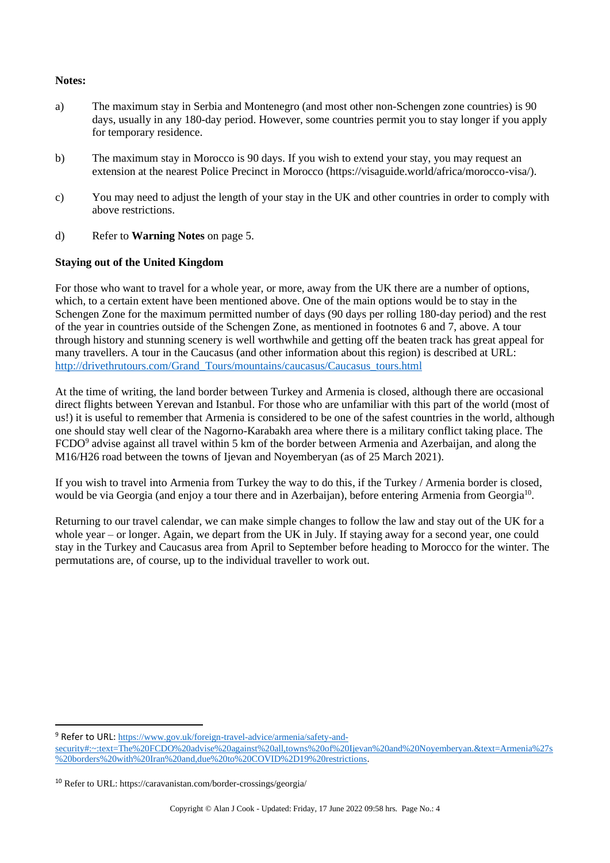## **Notes:**

- a) The maximum stay in Serbia and Montenegro (and most other non-Schengen zone countries) is 90 days, usually in any 180-day period. However, some countries permit you to stay longer if you apply for temporary residence.
- b) The maximum stay in Morocco is 90 days. If you wish to extend your stay, you may request an extension at the nearest Police Precinct in Morocco (https://visaguide.world/africa/morocco-visa/).
- c) You may need to adjust the length of your stay in the UK and other countries in order to comply with above restrictions.
- d) Refer to **Warning Notes** on page 5.

#### **Staying out of the United Kingdom**

For those who want to travel for a whole year, or more, away from the UK there are a number of options, which, to a certain extent have been mentioned above. One of the main options would be to stay in the Schengen Zone for the maximum permitted number of days (90 days per rolling 180-day period) and the rest of the year in countries outside of the Schengen Zone, as mentioned in footnotes 6 and 7, above. A tour through history and stunning scenery is well worthwhile and getting off the beaten track has great appeal for many travellers. A tour in the Caucasus (and other information about this region) is described at URL: [http://drivethrutours.com/Grand\\_Tours/mountains/caucasus/Caucasus\\_tours.html](http://drivethrutours.com/Grand_Tours/mountains/caucasus/Caucasus_tours.html)

At the time of writing, the land border between Turkey and Armenia is closed, although there are occasional direct flights between Yerevan and Istanbul. For those who are unfamiliar with this part of the world (most of us!) it is useful to remember that Armenia is considered to be one of the safest countries in the world, although one should stay well clear of the Nagorno-Karabakh area where there is a military conflict taking place. The FCDO<sup>9</sup> advise against all travel within 5 km of the border between Armenia and Azerbaijan, and along the M16/H26 road between the towns of Ijevan and Noyemberyan (as of 25 March 2021).

If you wish to travel into Armenia from Turkey the way to do this, if the Turkey / Armenia border is closed, would be via Georgia (and enjoy a tour there and in Azerbaijan), before entering Armenia from Georgia<sup>10</sup>.

Returning to our travel calendar, we can make simple changes to follow the law and stay out of the UK for a whole year – or longer. Again, we depart from the UK in July. If staying away for a second year, one could stay in the Turkey and Caucasus area from April to September before heading to Morocco for the winter. The permutations are, of course, up to the individual traveller to work out.

<sup>9</sup> Refer to URL: [https://www.gov.uk/foreign-travel-advice/armenia/safety-and-](https://www.gov.uk/foreign-travel-advice/armenia/safety-and-security#:~:text=The%20FCDO%20advise%20against%20all,towns%20of%20Ijevan%20and%20Noyemberyan.&text=Armenia%27s%20borders%20with%20Iran%20and,due%20to%20COVID%2D19%20restrictions)

[security#:~:text=The%20FCDO%20advise%20against%20all,towns%20of%20Ijevan%20and%20Noyemberyan.&text=Armenia%27s](https://www.gov.uk/foreign-travel-advice/armenia/safety-and-security#:~:text=The%20FCDO%20advise%20against%20all,towns%20of%20Ijevan%20and%20Noyemberyan.&text=Armenia%27s%20borders%20with%20Iran%20and,due%20to%20COVID%2D19%20restrictions) [%20borders%20with%20Iran%20and,due%20to%20COVID%2D19%20restrictions.](https://www.gov.uk/foreign-travel-advice/armenia/safety-and-security#:~:text=The%20FCDO%20advise%20against%20all,towns%20of%20Ijevan%20and%20Noyemberyan.&text=Armenia%27s%20borders%20with%20Iran%20and,due%20to%20COVID%2D19%20restrictions)

<sup>10</sup> Refer to URL: https://caravanistan.com/border-crossings/georgia/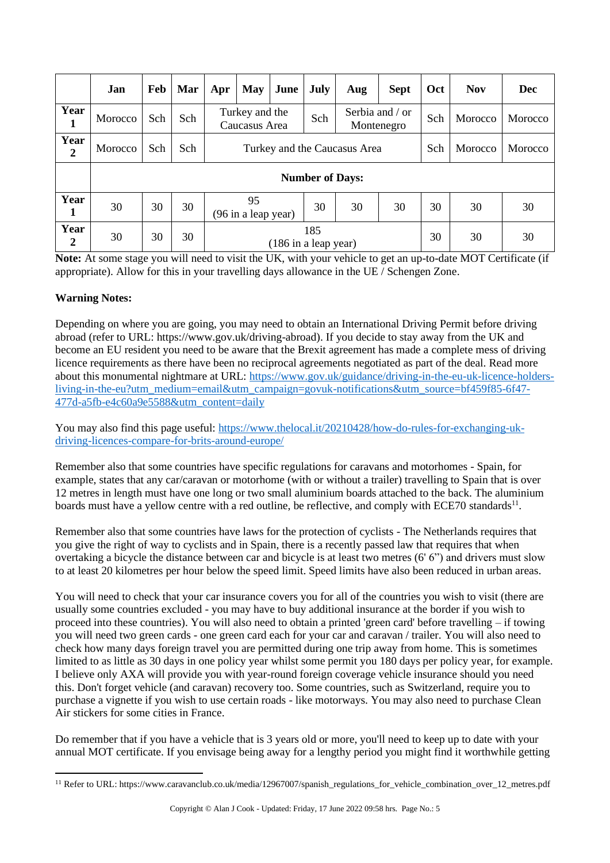|                          | Jan                    | Feb | Mar | Apr                             | <b>May</b>                | June | July | Aug | <b>Sept</b>                   | Oct | <b>Nov</b> | Dec     |
|--------------------------|------------------------|-----|-----|---------------------------------|---------------------------|------|------|-----|-------------------------------|-----|------------|---------|
| Year<br>$\mathbf{1}$     | Morocco                | Sch | Sch | Turkey and the<br>Caucasus Area |                           |      | Sch  |     | Serbia and / or<br>Montenegro | Sch | Morocco    | Morocco |
| Year<br>2                | Morocco                | Sch | Sch | Turkey and the Caucasus Area    |                           |      |      |     |                               | Sch | Morocco    | Morocco |
|                          | <b>Number of Days:</b> |     |     |                                 |                           |      |      |     |                               |     |            |         |
| Year<br>1                | 30                     | 30  | 30  |                                 | 95<br>(96 in a leap year) |      | 30   | 30  | 30                            | 30  | 30         | 30      |
| Year<br>$\boldsymbol{2}$ | 30                     | 30  | 30  | 185<br>(186 in a leap year)     |                           |      |      |     | 30                            | 30  | 30         |         |

**Note:** At some stage you will need to visit the UK, with your vehicle to get an up-to-date MOT Certificate (if appropriate). Allow for this in your travelling days allowance in the UE / Schengen Zone.

# **Warning Notes:**

Depending on where you are going, you may need to obtain an International Driving Permit before driving abroad (refer to URL: https://www.gov.uk/driving-abroad). If you decide to stay away from the UK and become an EU resident you need to be aware that the Brexit agreement has made a complete mess of driving licence requirements as there have been no reciprocal agreements negotiated as part of the deal. Read more about this monumental nightmare at URL: [https://www.gov.uk/guidance/driving-in-the-eu-uk-licence-holders](https://www.gov.uk/guidance/driving-in-the-eu-uk-licence-holders-living-in-the-eu?utm_medium=email&utm_campaign=govuk-notifications&utm_source=bf459f85-6f47-477d-a5fb-e4c60a9e5588&utm_content=daily)[living-in-the-eu?utm\\_medium=email&utm\\_campaign=govuk-notifications&utm\\_source=bf459f85-6f47-](https://www.gov.uk/guidance/driving-in-the-eu-uk-licence-holders-living-in-the-eu?utm_medium=email&utm_campaign=govuk-notifications&utm_source=bf459f85-6f47-477d-a5fb-e4c60a9e5588&utm_content=daily) [477d-a5fb-e4c60a9e5588&utm\\_content=daily](https://www.gov.uk/guidance/driving-in-the-eu-uk-licence-holders-living-in-the-eu?utm_medium=email&utm_campaign=govuk-notifications&utm_source=bf459f85-6f47-477d-a5fb-e4c60a9e5588&utm_content=daily)

You may also find this page useful: [https://www.thelocal.it/20210428/how-do-rules-for-exchanging-uk](https://www.thelocal.it/20210428/how-do-rules-for-exchanging-uk-driving-licences-compare-for-brits-around-europe/)[driving-licences-compare-for-brits-around-europe/](https://www.thelocal.it/20210428/how-do-rules-for-exchanging-uk-driving-licences-compare-for-brits-around-europe/)

Remember also that some countries have specific regulations for caravans and motorhomes - Spain, for example, states that any car/caravan or motorhome (with or without a trailer) travelling to Spain that is over 12 metres in length must have one long or two small aluminium boards attached to the back. The aluminium boards must have a yellow centre with a red outline, be reflective, and comply with ECE70 standards<sup>11</sup>.

Remember also that some countries have laws for the protection of cyclists - The Netherlands requires that you give the right of way to cyclists and in Spain, there is a recently passed law that requires that when overtaking a bicycle the distance between car and bicycle is at least two metres (6' 6") and drivers must slow to at least 20 kilometres per hour below the speed limit. Speed limits have also been reduced in urban areas.

You will need to check that your car insurance covers you for all of the countries you wish to visit (there are usually some countries excluded - you may have to buy additional insurance at the border if you wish to proceed into these countries). You will also need to obtain a printed 'green card' before travelling – if towing you will need two green cards - one green card each for your car and caravan / trailer. You will also need to check how many days foreign travel you are permitted during one trip away from home. This is sometimes limited to as little as 30 days in one policy year whilst some permit you 180 days per policy year, for example. I believe only AXA will provide you with year-round foreign coverage vehicle insurance should you need this. Don't forget vehicle (and caravan) recovery too. Some countries, such as Switzerland, require you to purchase a vignette if you wish to use certain roads - like motorways. You may also need to purchase Clean Air stickers for some cities in France.

Do remember that if you have a vehicle that is 3 years old or more, you'll need to keep up to date with your annual MOT certificate. If you envisage being away for a lengthy period you might find it worthwhile getting

<sup>11</sup> Refer to URL: https://www.caravanclub.co.uk/media/12967007/spanish\_regulations\_for\_vehicle\_combination\_over\_12\_metres.pdf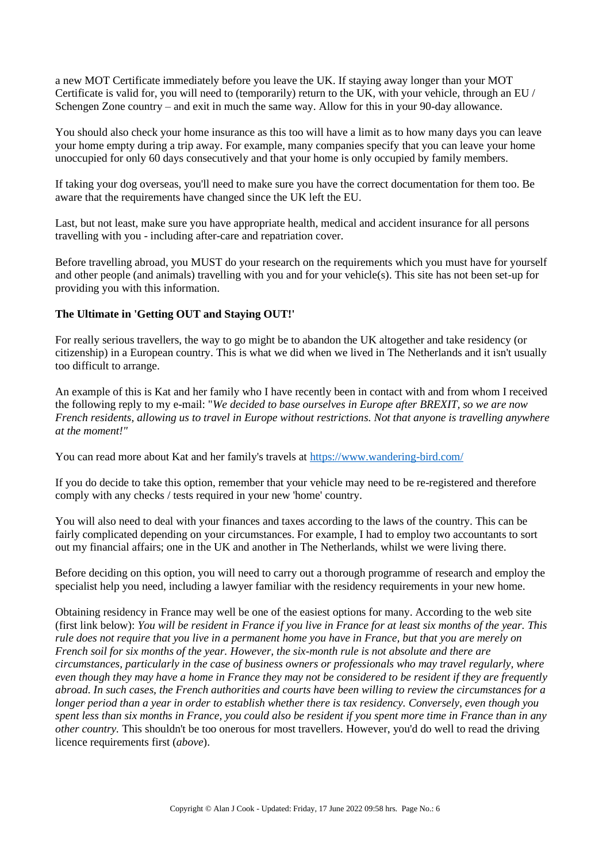a new MOT Certificate immediately before you leave the UK. If staying away longer than your MOT Certificate is valid for, you will need to (temporarily) return to the UK, with your vehicle, through an EU / Schengen Zone country – and exit in much the same way. Allow for this in your 90-day allowance.

You should also check your home insurance as this too will have a limit as to how many days you can leave your home empty during a trip away. For example, many companies specify that you can leave your home unoccupied for only 60 days consecutively and that your home is only occupied by family members.

If taking your dog overseas, you'll need to make sure you have the correct documentation for them too. Be aware that the requirements have changed since the UK left the EU.

Last, but not least, make sure you have appropriate health, medical and accident insurance for all persons travelling with you - including after-care and repatriation cover.

Before travelling abroad, you MUST do your research on the requirements which you must have for yourself and other people (and animals) travelling with you and for your vehicle(s). This site has not been set-up for providing you with this information.

## **The Ultimate in 'Getting OUT and Staying OUT!'**

For really serious travellers, the way to go might be to abandon the UK altogether and take residency (or citizenship) in a European country. This is what we did when we lived in The Netherlands and it isn't usually too difficult to arrange.

An example of this is Kat and her family who I have recently been in contact with and from whom I received the following reply to my e-mail: "*We decided to base ourselves in Europe after BREXIT, so we are now French residents, allowing us to travel in Europe without restrictions. Not that anyone is travelling anywhere at the moment!"*

You can read more about Kat and her family's travels at<https://www.wandering-bird.com/>

If you do decide to take this option, remember that your vehicle may need to be re-registered and therefore comply with any checks / tests required in your new 'home' country.

You will also need to deal with your finances and taxes according to the laws of the country. This can be fairly complicated depending on your circumstances. For example, I had to employ two accountants to sort out my financial affairs; one in the UK and another in The Netherlands, whilst we were living there.

Before deciding on this option, you will need to carry out a thorough programme of research and employ the specialist help you need, including a lawyer familiar with the residency requirements in your new home.

Obtaining residency in France may well be one of the easiest options for many. According to the web site (first link below): *You will be resident in France if you live in France for at least six months of the year. This rule does not require that you live in a permanent home you have in France, but that you are merely on French soil for six months of the year. However, the six-month rule is not absolute and there are circumstances, particularly in the case of business owners or professionals who may travel regularly, where even though they may have a home in France they may not be considered to be resident if they are frequently abroad. In such cases, the French authorities and courts have been willing to review the circumstances for a longer period than a year in order to establish whether there is tax residency. Conversely, even though you spent less than six months in France, you could also be resident if you spent more time in France than in any other country.* This shouldn't be too onerous for most travellers. However, you'd do well to read the driving licence requirements first (*above*).